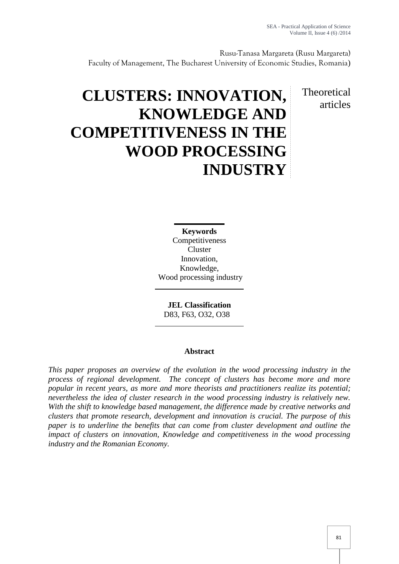Rusu-Tanasa Margareta (Rusu Margareta) Faculty of Management, The Bucharest University of Economic Studies, Romania)

> Theoretical articles

# **CLUSTERS: INNOVATION, KNOWLEDGE AND COMPETITIVENESS IN THE WOOD PROCESSING INDUSTRY**

**Keywords** Competitiveness **Cluster** Innovation, Knowledge, Wood processing industry

**JEL Classification** D83, F63, O32, O38

# **Abstract**

*This paper proposes an overview of the evolution in the wood processing industry in the process of regional development. The concept of clusters has become more and more popular in recent years, as more and more theorists and practitioners realize its potential; nevertheless the idea of cluster research in the wood processing industry is relatively new. With the shift to knowledge based management, the difference made by creative networks and clusters that promote research, development and innovation is crucial. The purpose of this paper is to underline the benefits that can come from cluster development and outline the impact of clusters on innovation, Knowledge and competitiveness in the wood processing industry and the Romanian Economy.*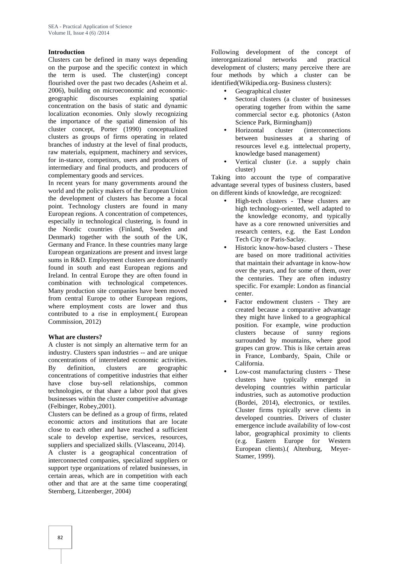# **Introduction**

Clusters can be defined in many ways depending on the purpose and the specific context in which the term is used. The cluster(ing) concept flourished over the past two decades (Asheim et al. 2006), building on microeconomic and economic geographic discourses explaining spatial concentration on the basis of static and dynamic localization economies. Only slowly recognizing the importance of the spatial dimension of his cluster concept, Porter (1990) conceptualized clusters as groups of firms operating in related branches of industry at the level of final products, raw materials, equipment, machinery and services, for in-stance, competitors, users and producers of intermediary and final products, and producers of complementary goods and services.

In recent years for many governments around the world and the policy makers of the European Union the development of clusters has become a focal point. Technology clusters are found in many European regions. A concentration of competences, especially in technological clustering, is found in the Nordic countries (Finland, Sweden and Denmark) together with the south of the UK, Germany and France. In these countries many large European organizations are present and invest large sums in R&D. Employment clusters are dominantly found in south and east European regions and Ireland. In central Europe they are often found in combination with technological competences. Many production site companies have been moved from central Europe to other European regions, where employment costs are lower and thus contributed to a rise in employment.( European Commission, 2012)

#### **What are clusters?**

A cluster is not simply an alternative term for an industry. Clusters span industries -- and are unique concentrations of interrelated economic activities. By definition, clusters are geographic concentrations of competitive industries that either have close buy-sell relationships, common technologies, or that share a labor pool that gives businesses within the cluster competitive advantage (Felbinger, Robey,2001).

Clusters can be defined as a group of firms, related economic actors and institutions that are locate close to each other and have reached a sufficient scale to develop expertise, services, resources, suppliers and specialized skills. (Vlasceanu, 2014). A cluster is a geographical concentration of interconnected companies, specialized suppliers or support type organizations of related businesses, in certain areas, which are in competition with each other and that are at the same time cooperating( Sternberg, Litzenberger, 2004)

Following development of the concept of interorganizational networks and practical development of clusters; many perceive there are four methods by which a cluster can be identified(Wikipedia.org- Business clusters):

- Geographical cluster
- Sectoral clusters (a cluster of businesses operating together from within the same commercial sector e.g. photonics (Aston Science Park, Birmingham))
- Horizontal cluster (interconnections between businesses at a sharing of resources level e.g. inttelectual property, knowledge based management)
- Vertical cluster (i.e. a supply chain cluster)

Taking into account the type of comparative advantage several types of business clusters, based on different kinds of knowledge, are recognized:

- High-tech clusters These clusters are high technology-oriented, well adapted to the knowledge economy, and typically have as a core renowned universities and research centers, e.g. the East London Tech City or Paris-Saclay.
- Historic know-how-based clusters These are based on more traditional activities that maintain their advantage in know-how over the years, and for some of them, over the centuries. They are often industry specific. For example: London as financial center.
- Factor endowment clusters They are created because a comparative advantage they might have linked to a geographical position. For example, wine production clusters because of sunny regions surrounded by mountains, where good grapes can grow. This is like certain areas in France, Lombardy, Spain, Chile or California.
- Low-cost manufacturing clusters These clusters have typically emerged in developing countries within particular industries, such as automotive production (Bordei, 2014), electronics, or textiles. Cluster firms typically serve clients in developed countries. Drivers of cluster emergence include availability of low-cost labor, geographical proximity to clients (e.g. Eastern Europe for Western European clients).( Altenburg, Meyer- Stamer, 1999).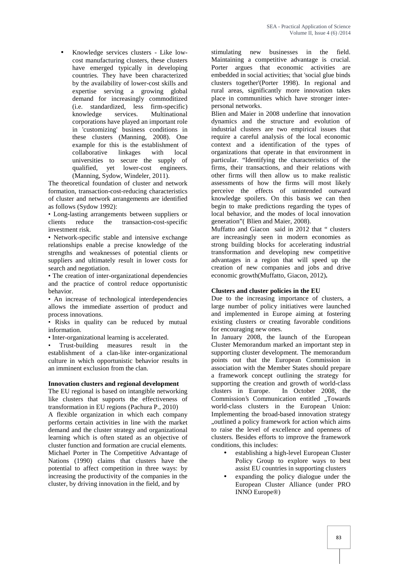Knowledge services clusters - Like low cost manufacturing clusters, these clusters have emerged typically in developing countries. They have been characterized by the availability of lower-cost skills and expertise serving a growing global demand for increasingly commoditized (i.e. standardized, less firm-specific) knowledge services. Multinational corporations have played an important role in 'customizing' business conditions in these clusters (Manning, 2008). One example for this is the establishment of collaborative linkages with local universities to secure the supply of qualified, yet lower-cost engineers. (Manning, Sydow, Windeler, 2011).

The theoretical foundation of cluster and network formation, transaction-cost-reducing characteristics of cluster and network arrangements are identified as follows (Sydow 1992):

• Long-lasting arrangements between suppliers or clients reduce the transaction-cost-specific investment risk.

• Network-specific stable and intensive exchange relationships enable a precise knowledge of the strengths and weaknesses of potential clients or suppliers and ultimately result in lower costs for search and negotiation.

• The creation of inter-organizational dependencies and the practice of control reduce opportunistic behavior.

• An increase of technological interdependencies allows the immediate assertion of product and process innovations.

• Risks in quality can be reduced by mutual information.

• Inter-organizational learning is accelerated.

• Trust-building measures result in the establishment of a clan-like inter-organizational culture in which opportunistic behavior results in an imminent exclusion from the clan.

#### **Innovation clusters and regional development**

The EU regional is based on intangible networking clusters in Europe. like clusters that supports the effectiveness of transformation in EU regions (Pachura P., 2010)

A flexible organization in which each company performs certain activities in line with the market demand and the cluster strategy and organizational learning which is often stated as an objective of cluster function and formation are crucial elements. Michael Porter in The Competitive Advantage of Nations (1990) claims that clusters have the potential to affect competition in three ways: by increasing the productivity of the companies in the cluster, by driving innovation in the field, and by

stimulating new businesses in the field. Maintaining a competitive advantage is crucial. Porter argues that economic activities are embedded in social activities; that 'social glue binds clusters together'(Porter 1998). In regional and rural areas, significantly more innovation takes place in communities which have stronger inter personal networks.

Blien and Maier in 2008 underline that innovation dynamics and the structure and evolution of industrial clusters are two empirical issues that require a careful analysis of the local economic context and a identification of the types of organizations that operate in that environment in particular. "Identifying the characteristics of the firms, their transactions, and their relations with other firms will then allow us to make realistic assessments of how the firms will most likely perceive the effects of unintended outward knowledge spoilers. On this basis we can then begin to make predictions regarding the types of local behavior, and the modes of local innovation generation"( Blien and Maier, 2008).

Muffatto and Giacon said in 2012 that " clusters are increasingly seen in modern economies as strong building blocks for accelerating industrial transformation and developing new competitive advantages in a region that will speed up the creation of new companies and jobs and drive economic growth(Muffatto, Giacon, 2012)**.**

#### **Clusters and cluster policies in the EU**

Due to the increasing importance of clusters, a large number of policy initiatives were launched and implemented in Europe aiming at fostering existing clusters or creating favorable conditions for encouraging new ones.

In January 2008, the launch of the European Cluster Memorandum marked an important step in supporting cluster development. The memorandum points out that the European Commission in association with the Member States should prepare a framework concept outlining the strategy for supporting the creation and growth of world-class In October 2008, the Commission's Communication entitled "Towards world-class clusters in the European Union: Implementing the broad-based innovation strategy "outlined a policy framework for action which aims to raise the level of excellence and openness of clusters. Besides efforts to improve the framework conditions, this includes:

- establishing a high-level European Cluster Policy Group to explore ways to best assist EU countries in supporting clusters
- expanding the policy dialogue under the European Cluster Alliance (under PRO INNO Europe®)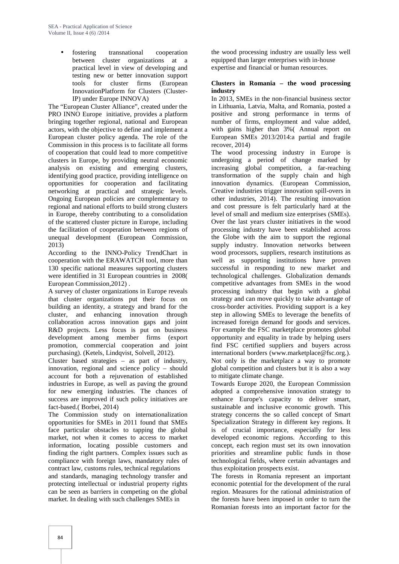fostering transnational cooperation between cluster organizations at a practical level in view of developing and testing new or better innovation support tools for cluster firms (European InnovationPlatform for Clusters (Cluster-IP) under Europe INNOVA)

The "European Cluster Alliance", created under the PRO INNO Europe initiative, provides a platform bringing together regional, national and European actors, with the objective to define and implement a European cluster policy agenda. The role of the Commission in this process is to facilitate all forms of cooperation that could lead to more competitive clusters in Europe, by providing neutral economic analysis on existing and emerging clusters, identifying good practice, providing intelligence on opportunities for cooperation and facilitating networking at practical and strategic levels. Ongoing European policies are complementary to regional and national efforts to build strong clusters in Europe, thereby contributing to a consolidation of the scattered cluster picture in Europe, including the facilitation of cooperation between regions of unequal development (European Commission, 2013)

According to the INNO-Policy TrendChart in cooperation with the ERAWATCH tool, more than 130 specific national measures supporting clusters were identified in 31 European countries in 2008( European Commission,2012) .

A survey of cluster organizations in Europe reveals that cluster organizations put their focus on building an identity, a strategy and brand for the cluster, and enhancing innovation through collaboration across innovation gaps and joint R&D projects. Less focus is put on business development among member firms (export promotion, commercial cooperation and joint purchasing). (Ketels, Lindqvist, Solvell, 2012).

Cluster based strategies – as part of industry, innovation, regional and science policy – should account for both a rejuvenation of established industries in Europe, as well as paving the ground for new emerging industries. The chances of success are improved if such policy initiatives are fact-based.( Borbei, 2014)

The Commission study on internationalization opportunities for SMEs in 2011 found that SMEs face particular obstacles to tapping the global market, not when it comes to access to market information, locating possible customers and finding the right partners. Complex issues such as compliance with foreign laws, mandatory rules of contract law, customs rules, technical regulations and standards, managing technology transfer and protecting intellectual or industrial property rights can be seen as barriers in competing on the global

market. In dealing with such challenges SMEs in

the wood processing industry are usually less well equipped than larger enterprises with in‐house expertise and financial or human resources.

#### **Clusters in Romania – the wood processing industry**

In 2013, SMEs in the non-financial business sector in Lithuania, Latvia, Malta, and Romania, posted a positive and strong performance in terms of number of firms, employment and value added, with gains higher than 3%( Annual report on European SMEs 2013/2014:a partial and fragile recover, 2014)

The wood processing industry in Europe is undergoing a period of change marked by increasing global competition, a far-reaching transformation of the supply chain and high innovation dynamics. (European Commission, Creative industries trigger innovation spill-overs in other industries, 2014). The resulting innovation and cost pressure is felt particularly hard at the level of small and medium size enterprises (SMEs). Over the last years cluster initiatives in the wood processing industry have been established across the Globe with the aim to support the regional supply industry. Innovation networks between wood processors, suppliers, research institutions as well as supporting institutions have proven successful in responding to new market and technological challenges. Globalization demands competitive advantages from SMEs in the wood processing industry that begin with a global strategy and can move quickly to take advantage of cross‐border activities. Providing support is a key step in allowing SMEs to leverage the benefits of increased foreign demand for goods and services. For example the FSC marketplace promotes global opportunity and equality in trade by helping users find FSC certified suppliers and buyers across international borders (www.marketplace@fsc.org.). Not only is the marketplace a way to promote global competition and clusters but it is also a way to mitigate climate change.

Towards Europe 2020, the European Commission adopted a comprehensive innovation strategy to enhance Europe's capacity to deliver smart, sustainable and inclusive economic growth. This strategy concerns the so called concept of Smart Specialization Strategy in different key regions. It is of crucial importance, especially for less developed economic regions. According to this concept, each region must set its own innovation priorities and streamline public funds in those technological fields, where certain advantages and thus exploitation prospects exist.

The forests in Romania represent an important economic potential for the development of the rural region. Measures for the rational administration of the forests have been imposed in order to turn the Romanian forests into an important factor for the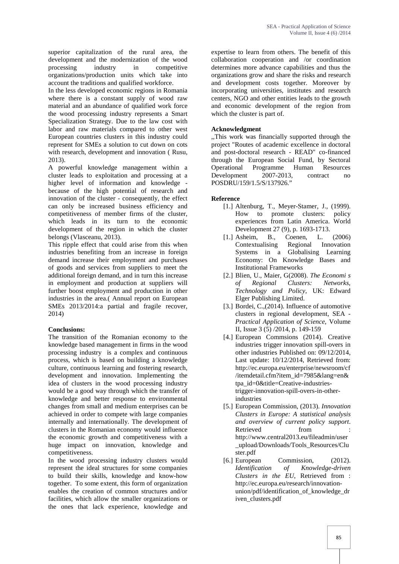superior capitalization of the rural area, the development and the modernization of the wood processing industry in competitive organizations/production units which take into account the traditions and qualified workforce.

In the less developed economic regions in Romania where there is a constant supply of wood raw material and an abundance of qualified work force the wood processing industry represents a Smart Specialization Strategy. Due to the law cost with labor and raw materials compared to other west European countries clusters in this industry could represent for SMEs a solution to cut down on cots with research, development and innovation ( Rusu, 2013).

A powerful knowledge management within a cluster leads to exploitation and processing at a higher level of information and knowledge because of the high potential of research and innovation of the cluster - consequently, the effect can only be increased business efficiency and competitiveness of member firms of the cluster, which leads in its turn to the economic development of the region in which the cluster belongs (Vlasceanu, 2013).

This ripple effect that could arise from this when industries benefiting from an increase in foreign demand increase their employment and purchases of goods and services from suppliers to meet the additional foreign demand, and in turn this increase in employment and production at suppliers will further boost employment and production in other industries in the area.( Annual report on European SMEs 2013/2014:a partial and fragile recover, 2014)

#### **Conclusions:**

The transition of the Romanian economy to the knowledge based management in firms in the wood processing industry is a complex and continuous process, which is based on building a knowledge culture, continuous learning and fostering research, development and innovation. Implementing the idea of clusters in the wood processing industry would be a good way through which the transfer of knowledge and better response to environmental changes from small and medium enterprises can be achieved in order to compete with large companies internally and internationally. The development of clusters in the Romanian economy would influence the economic growth and competitiveness with a huge impact on innovation, knowledge and competitiveness.

In the wood processing industry clusters would represent the ideal structures for some companies to build their skills, knowledge and know-how together. To some extent, this form of organization enables the creation of common structures and/or facilities, which allow the smaller organizations or the ones that lack experience, knowledge and

expertise to learn from others. The benefit of this collaboration cooperation and /or coordination determines more advance capabilities and thus the organizations grow and share the risks and research and development costs together. Moreover by incorporating universities, institutes and research centers, NGO and other entities leads to the growth and economic development of the region from which the cluster is part of.

# **Acknowledgment**

,,This work was financially supported through the project "Routes of academic excellence in doctoral and post-doctoral research - READ" co-financed through the European Social Fund, by Sectoral Operational Programme Human Resources Development 2007-2013, contract no POSDRU/159/1.5/S/137926."

# **Reference**

- [1.] Altenburg, T., Meyer-Stamer, J., (1999). How to promote clusters: policy experiences from Latin America. World Development 27 (9), p. 1693-1713.
- [1.] Asheim, B., Coenen, L. (2006) Contextualising Regional Innovation Systems in a Globalising Learning Economy: On Knowledge Bases and Institutional Frameworks
- [2.] Blien, U., Maier, G(2008). *The Economi s of Regional Clusters: Networks, Technology and Policy*, UK: Edward Elger Publishing Limited.
- [3.] Bordei, C., (2014). Influence of automotive clusters in regional development, SEA - *Practical Application of Science*, Volume II, Issue 3 (5) /2014, p. 149-159
- [4.] European Commsions (2014). Creative industries trigger innovation spill-overs in other industries Published on: 09/12/2014, Last update: 10/12/2014, Retrieved from: http://ec.europa.eu/enterprise/newsroom/cf /itemdetail.cfm?item\_id=7985&lang=en& tpa\_id=0&title=Creative-industriestrigger-innovation-spill-overs-in-otherindustries
- [5.] European Commission, (2013). *Innovation Clusters in Europe: A statistical analysis and overview of current policy support*. Retrieved from http://www.central2013.eu/fileadmin/user \_upload/Downloads/Tools\_Resources/Clu ster.pdf
- [6.] European Commission, (2012). *Identification of Knowledge-driven Clusters in the EU*, Retrieved from : http://ec.europa.eu/research/innovation union/pdf/identification\_of\_knowledge\_dr iven clusters.pdf